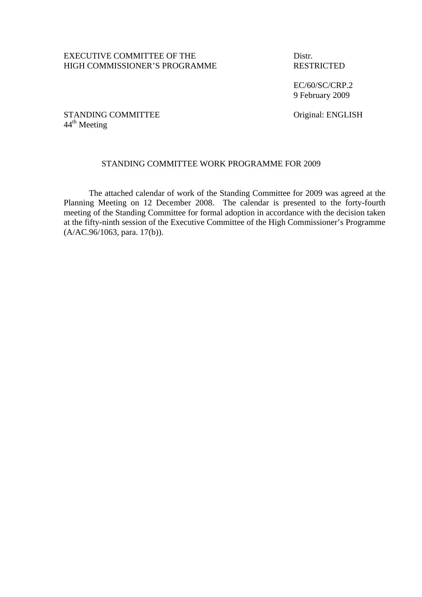## EXECUTIVE COMMITTEE OF THE Distr. HIGH COMMISSIONER'S PROGRAMME RESTRICTED

 EC/60/SC/CRP.2 9 February 2009

# STANDING COMMITTEE Original: ENGLISH  $44^{\text{th}}$  Meeting

## STANDING COMMITTEE WORK PROGRAMME FOR 2009

The attached calendar of work of the Standing Committee for 2009 was agreed at the Planning Meeting on 12 December 2008. The calendar is presented to the forty-fourth meeting of the Standing Committee for formal adoption in accordance with the decision taken at the fifty-ninth session of the Executive Committee of the High Commissioner's Programme (A/AC.96/1063, para. 17(b)).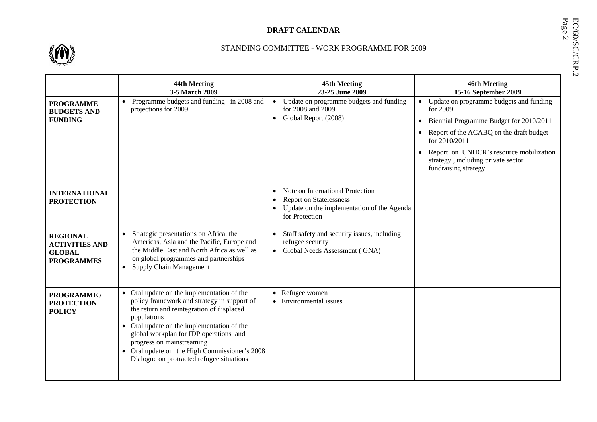

# **EX-CALENDAR BEAT CALENDAR**<br>
STANDING COMMITTEE - WORK PROGRAMME FOR 2009<br>
STANDING COMMITTEE - WORK PROGRAMME FOR 2009

|                                                                                | 44th Meeting<br>3-5 March 2009                                                                                                                                                                                                                                                                                                                                           | <b>45th Meeting</b><br>23-25 June 2009                                                                                                                                    | <b>46th Meeting</b><br>15-16 September 2009                                                                                                                                                                                                                                                   |
|--------------------------------------------------------------------------------|--------------------------------------------------------------------------------------------------------------------------------------------------------------------------------------------------------------------------------------------------------------------------------------------------------------------------------------------------------------------------|---------------------------------------------------------------------------------------------------------------------------------------------------------------------------|-----------------------------------------------------------------------------------------------------------------------------------------------------------------------------------------------------------------------------------------------------------------------------------------------|
| <b>PROGRAMME</b><br><b>BUDGETS AND</b><br><b>FUNDING</b>                       | Programme budgets and funding in 2008 and<br>projections for 2009                                                                                                                                                                                                                                                                                                        | Update on programme budgets and funding<br>$\bullet$<br>for 2008 and 2009<br>Global Report (2008)<br>$\bullet$                                                            | Update on programme budgets and funding<br>for 2009<br>Biennial Programme Budget for 2010/2011<br>$\bullet$<br>Report of the ACABQ on the draft budget<br>$\bullet$<br>for 2010/2011<br>Report on UNHCR's resource mobilization<br>strategy, including private sector<br>fundraising strategy |
| <b>INTERNATIONAL</b><br><b>PROTECTION</b>                                      |                                                                                                                                                                                                                                                                                                                                                                          | Note on International Protection<br>$\bullet$<br><b>Report on Statelessness</b><br>$\bullet$<br>Update on the implementation of the Agenda<br>$\bullet$<br>for Protection |                                                                                                                                                                                                                                                                                               |
| <b>REGIONAL</b><br><b>ACTIVITIES AND</b><br><b>GLOBAL</b><br><b>PROGRAMMES</b> | Strategic presentations on Africa, the<br>Americas, Asia and the Pacific, Europe and<br>the Middle East and North Africa as well as<br>on global programmes and partnerships<br><b>Supply Chain Management</b>                                                                                                                                                           | Staff safety and security issues, including<br>refugee security<br>Global Needs Assessment (GNA)                                                                          |                                                                                                                                                                                                                                                                                               |
| PROGRAMME /<br><b>PROTECTION</b><br><b>POLICY</b>                              | • Oral update on the implementation of the<br>policy framework and strategy in support of<br>the return and reintegration of displaced<br>populations<br>• Oral update on the implementation of the<br>global workplan for IDP operations and<br>progress on mainstreaming<br>• Oral update on the High Commissioner's 2008<br>Dialogue on protracted refugee situations | Refugee women<br>$\bullet$<br>Environmental issues                                                                                                                        |                                                                                                                                                                                                                                                                                               |